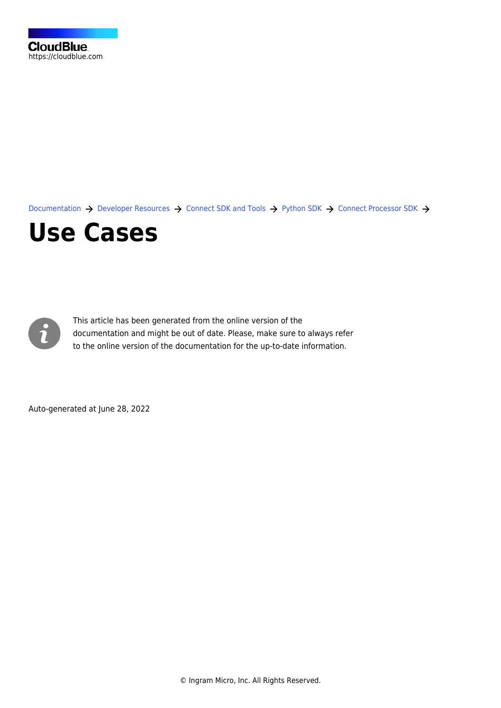[Documentation](https://connect.cloudblue.com/documentation)  $\rightarrow$  [Developer Resources](https://connect.cloudblue.com/community/developers/)  $\rightarrow$  [Connect SDK and Tools](https://connect.cloudblue.com/community/developers/sdk/)  $\rightarrow$  [Python SDK](https://connect.cloudblue.com/community/developers/sdk/python-sdk/)  $\rightarrow$  [Connect Processor SDK](https://connect.cloudblue.com/community/developers/sdk/python-sdk/connect-processor-sdk/)  $\rightarrow$ 

## **[Use Cases](https://connect.cloudblue.com/community/developers/sdk/python-sdk/connect-processor-sdk/use-cases/)**



This article has been generated from the online version of the documentation and might be out of date. Please, make sure to always refer to the online version of the documentation for the up-to-date information.

Auto-generated at June 28, 2022